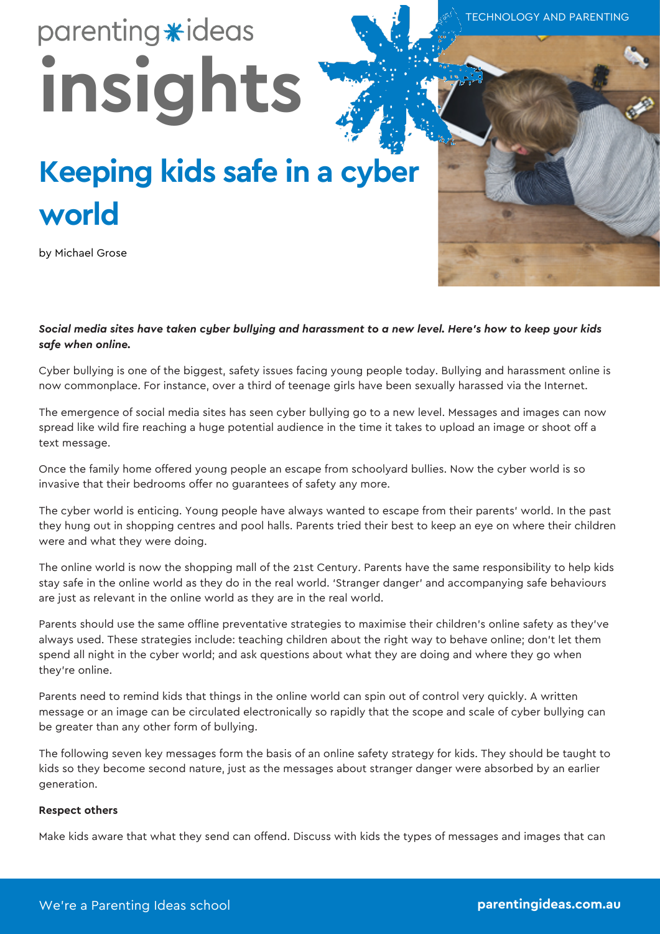TECHNOLOGY AND PARENTING

# parenting \*ideas **insights**

## **Keeping kids safe in a cyber world**

by Michael Grose

*Social media sites have taken cyber bullying and harassment to a new level. Here's how to keep your kids safe when online.*

Cyber bullying is one of the biggest, safety issues facing young people today. Bullying and harassment online is now commonplace. For instance, over a third of teenage girls have been sexually harassed via the Internet.

The emergence of social media sites has seen cyber bullying go to a new level. Messages and images can now spread like wild fire reaching a huge potential audience in the time it takes to upload an image or shoot off a text message.

Once the family home offered young people an escape from schoolyard bullies. Now the cyber world is so invasive that their bedrooms offer no guarantees of safety any more.

The cyber world is enticing. Young people have always wanted to escape from their parents' world. In the past they hung out in shopping centres and pool halls. Parents tried their best to keep an eye on where their children were and what they were doing.

The online world is now the shopping mall of the 21st Century. Parents have the same responsibility to help kids stay safe in the online world as they do in the real world. 'Stranger danger' and accompanying safe behaviours are just as relevant in the online world as they are in the real world.

Parents should use the same offline preventative strategies to maximise their children's online safety as they've always used. These strategies include: teaching children about the right way to behave online; don't let them spend all night in the cyber world; and ask questions about what they are doing and where they go when they're online.

Parents need to remind kids that things in the online world can spin out of control very quickly. A written message or an image can be circulated electronically so rapidly that the scope and scale of cyber bullying can be greater than any other form of bullying.

The following seven key messages form the basis of an online safety strategy for kids. They should be taught to kids so they become second nature, just as the messages about stranger danger were absorbed by an earlier generation.

#### **Respect others**

Make kids aware that what they send can offend. Discuss with kids the types of messages and images that can